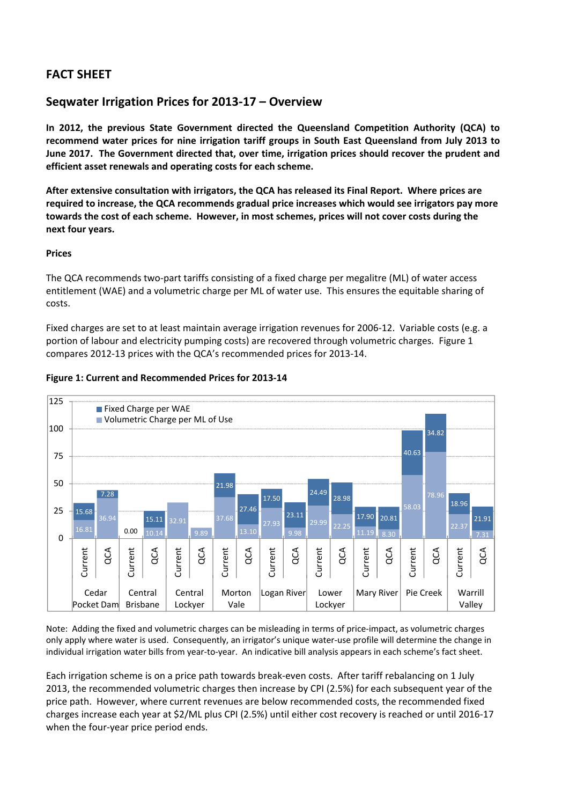# **FACT SHEET**

## **Seqwater Irrigation Prices for 2013‐17 – Overview**

**In 2012, the previous State Government directed the Queensland Competition Authority (QCA) to recommend water prices for nine irrigation tariff groups in South East Queensland from July 2013 to June 2017. The Government directed that, over time, irrigation prices should recover the prudent and efficient asset renewals and operating costs for each scheme.** 

**After extensive consultation with irrigators, the QCA has released its Final Report. Where prices are required to increase, the QCA recommends gradual price increases which would see irrigators pay more towards the cost of each scheme. However, in most schemes, prices will not cover costs during the next four years.**

### **Prices**

The QCA recommends two‐part tariffs consisting of a fixed charge per megalitre (ML) of water access entitlement (WAE) and a volumetric charge per ML of water use. This ensures the equitable sharing of costs.

Fixed charges are set to at least maintain average irrigation revenues for 2006‐12. Variable costs (e.g. a portion of labour and electricity pumping costs) are recovered through volumetric charges. Figure 1 compares 2012‐13 prices with the QCA's recommended prices for 2013‐14.



## **Figure 1: Current and Recommended Prices for 2013‐14**

Note: Adding the fixed and volumetric charges can be misleading in terms of price‐impact, as volumetric charges only apply where water is used. Consequently, an irrigator's unique water‐use profile will determine the change in individual irrigation water bills from year‐to‐year. An indicative bill analysis appears in each scheme's fact sheet.

Each irrigation scheme is on a price path towards break‐even costs. After tariff rebalancing on 1 July 2013, the recommended volumetric charges then increase by CPI (2.5%) for each subsequent year of the price path. However, where current revenues are below recommended costs, the recommended fixed charges increase each year at \$2/ML plus CPI (2.5%) until either cost recovery is reached or until 2016‐17 when the four-year price period ends.